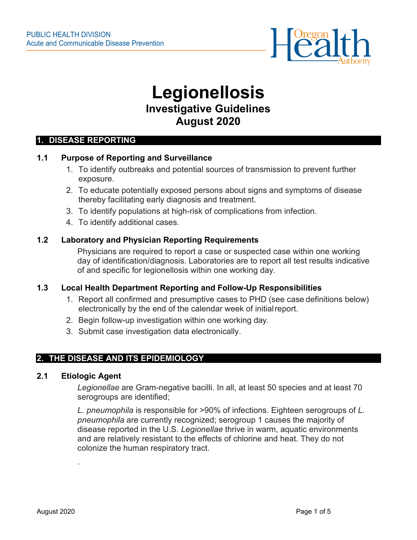

# **Legionellosis Investigative Guidelines August 2020**

#### **1. DISEASE REPORTING**

### **1.1 Purpose of Reporting and Surveillance**

- 1. To identify outbreaks and potential sources of transmission to prevent further exposure.
- 2. To educate potentially exposed persons about signs and symptoms of disease thereby facilitating early diagnosis and treatment.
- 3. To identify populations at high-risk of complications from infection.
- 4. To identify additional cases.

#### **1.2 Laboratory and Physician Reporting Requirements**

Physicians are required to report a case or suspected case within one working day of identification/diagnosis. Laboratories are to report all test results indicative of and specific for legionellosis within one working day.

## **1.3 Local Health Department Reporting and Follow-Up Responsibilities**

- 1. Report all confirmed and presumptive cases to PHD (see case definitions below) electronically by the end of the calendar week of initialreport.
- 2. Begin follow-up investigation within one working day.
- 3. Submit case investigation data electronically.

## **2. THE DISEASE AND ITS EPIDEMIOLOGY**

#### **2.1 Etiologic Agent**

.

*Legionellae* are Gram-negative bacilli. In all, at least 50 species and at least 70 serogroups are identified;

*L. pneumophila* is responsible for >90% of infections. Eighteen serogroups of *L. pneumophila* are currently recognized; serogroup 1 causes the majority of disease reported in the U.S. *Legionellae* thrive in warm, aquatic environments and are relatively resistant to the effects of chlorine and heat. They do not colonize the human respiratory tract.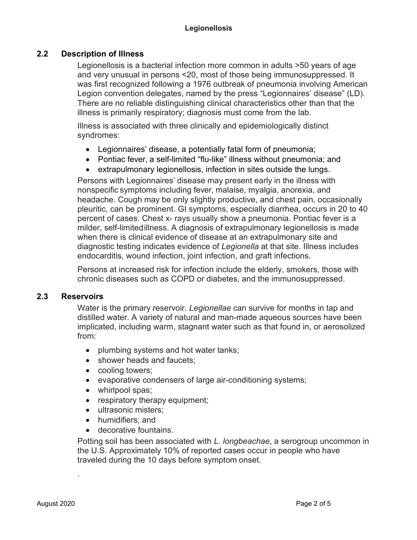## **2.2 Description of Illness**

Legionellosis is a bacterial infection more common in adults >50 years of age and very unusual in persons <20, most of those being immunosuppressed. It was first recognized following a 1976 outbreak of pneumonia involving American Legion convention delegates, named by the press "Legionnaires' disease" (LD). There are no reliable distinguishing clinical characteristics other than that the illness is primarily respiratory; diagnosis must come from the lab.

Illness is associated with three clinically and epidemiologically distinct syndromes:

- Legionnaires' disease, a potentially fatal form of pneumonia;
- Pontiac fever, a self-limited "flu-like" illness without pneumonia; and
- extrapulmonary legionellosis, infection in sites outside the lungs.

Persons with Legionnaires' disease may present early in the illness with nonspecific symptoms including fever, malaise, myalgia, anorexia, and headache. Cough may be only slightly productive, and chest pain, occasionally pleuritic, can be prominent. GI symptoms, especially diarrhea, occurs in 20 to 40 percent of cases. Chest x- rays usually show a pneumonia. Pontiac fever is a milder, self-limitedillness. A diagnosis of extrapulmonary legionellosis is made when there is clinical evidence of disease at an extrapulmonary site and diagnostic testing indicates evidence of *Legionella* at that site. Illness includes endocarditis, wound infection, joint infection, and graft infections.

Persons at increased risk for infection include the elderly, smokers, those with chronic diseases such as COPD or diabetes, and the immunosuppressed.

## **2.3 Reservoirs**

Water is the primary reservoir. *Legionellae* can survive for months in tap and distilled water. A variety of natural and man-made aqueous sources have been implicated, including warm, stagnant water such as that found in, or aerosolized from:

- plumbing systems and hot water tanks;
- shower heads and faucets;
- cooling towers;
- evaporative condensers of large air-conditioning systems;
- whirlpool spas;
- respiratory therapy equipment;
- ultrasonic misters:
- humidifiers; and
- decorative fountains.

Potting soil has been associated with *L. longbeachae*, a serogroup uncommon in the U.S. Approximately 10% of reported cases occur in people who have traveled during the 10 days before symptom onset.

.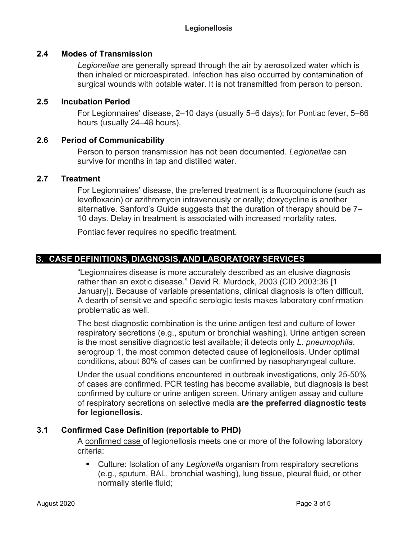## **2.4 Modes of Transmission**

*Legionellae* are generally spread through the air by aerosolized water which is then inhaled or microaspirated. Infection has also occurred by contamination of surgical wounds with potable water. It is not transmitted from person to person.

## **2.5 Incubation Period**

For Legionnaires' disease, 2–10 days (usually 5–6 days); for Pontiac fever, 5–66 hours (usually 24–48 hours).

## **2.6 Period of Communicability**

Person to person transmission has not been documented. *Legionellae* can survive for months in tap and distilled water.

## **2.7 Treatment**

For Legionnaires' disease, the preferred treatment is a fluoroquinolone (such as levofloxacin) or azithromycin intravenously or orally; doxycycline is another alternative. Sanford's Guide suggests that the duration of therapy should be 7– 10 days. Delay in treatment is associated with increased mortality rates.

Pontiac fever requires no specific treatment.

## **3. CASE DEFINITIONS, DIAGNOSIS, AND LABORATORY SERVICES**

"Legionnaires disease is more accurately described as an elusive diagnosis rather than an exotic disease." David R. Murdock, 2003 (CID 2003:36 [1 January]). Because of variable presentations, clinical diagnosis is often difficult. A dearth of sensitive and specific serologic tests makes laboratory confirmation problematic as well.

The best diagnostic combination is the urine antigen test and culture of lower respiratory secretions (e.g., sputum or bronchial washing). Urine antigen screen is the most sensitive diagnostic test available; it detects only *L. pneumophila*, serogroup 1, the most common detected cause of legionellosis. Under optimal conditions, about 80% of cases can be confirmed by nasopharyngeal culture.

Under the usual conditions encountered in outbreak investigations, only 25-50% of cases are confirmed. PCR testing has become available, but diagnosis is best confirmed by culture or urine antigen screen. Urinary antigen assay and culture of respiratory secretions on selective media **are the preferred diagnostic tests for legionellosis.**

## **3.1 Confirmed Case Definition (reportable to PHD)**

A confirmed case of legionellosis meets one or more of the following laboratory criteria:

 Culture: Isolation of any *Legionella* organism from respiratory secretions (e.g., sputum, BAL, bronchial washing), lung tissue, pleural fluid, or other normally sterile fluid;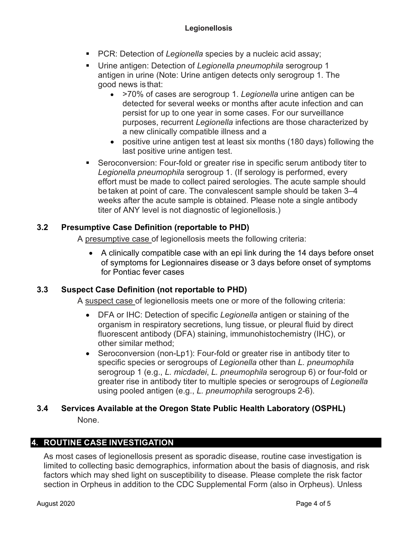- **PCR: Detection of Legionella species by a nucleic acid assay;**
- Urine antigen: Detection of *Legionella pneumophila* serogroup 1 antigen in urine (Note: Urine antigen detects only serogroup 1. The good news is that:
	- >70% of cases are serogroup 1. *Legionella* urine antigen can be detected for several weeks or months after acute infection and can persist for up to one year in some cases. For our surveillance purposes, recurrent *Legionella* infections are those characterized by a new clinically compatible illness and a
	- positive urine antigen test at least six months (180 days) following the last positive urine antigen test.
- Seroconversion: Four-fold or greater rise in specific serum antibody titer to *Legionella pneumophila* serogroup 1. (If serology is performed, every effort must be made to collect paired serologies. The acute sample should be taken at point of care. The convalescent sample should be taken 3–4 weeks after the acute sample is obtained. Please note a single antibody titer of ANY level is not diagnostic of legionellosis.)

# **3.2 Presumptive Case Definition (reportable to PHD)**

A presumptive case of legionellosis meets the following criteria:

• A clinically compatible case with an epi link during the 14 days before onset of symptoms for Legionnaires disease or 3 days before onset of symptoms for Pontiac fever cases

# **3.3 Suspect Case Definition (not reportable to PHD)**

A suspect case of legionellosis meets one or more of the following criteria:

- DFA or IHC: Detection of specific *Legionella* antigen or staining of the organism in respiratory secretions, lung tissue, or pleural fluid by direct fluorescent antibody (DFA) staining, immunohistochemistry (IHC), or other similar method;
- Seroconversion (non-Lp1): Four-fold or greater rise in antibody titer to specific species or serogroups of *Legionella* other than *L. pneumophila*  serogroup 1 (e.g., *L. micdadei*, *L. pneumophila* serogroup 6) or four-fold or greater rise in antibody titer to multiple species or serogroups of *Legionella* using pooled antigen (e.g., *L. pneumophila* serogroups 2-6).

# **3.4 Services Available at the Oregon State Public Health Laboratory (OSPHL)** None.

# **4. ROUTINE CASE INVESTIGATION**

As most cases of legionellosis present as sporadic disease, routine case investigation is limited to collecting basic demographics, information about the basis of diagnosis, and risk factors which may shed light on susceptibility to disease. Please complete the risk factor section in Orpheus in addition to the CDC Supplemental Form (also in Orpheus). Unless